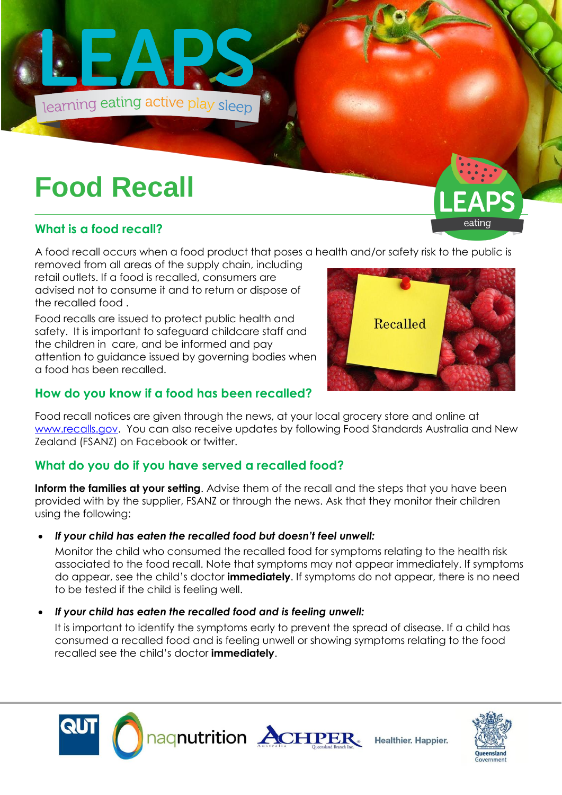

# **Food Recall**

## **What is a food recall?**

A food recall occurs when a food product that poses a health and/or safety risk to the public is

removed from all areas of the supply chain, including retail outlets. If a food is recalled, consumers are advised not to consume it and to return or dispose of the recalled food .

Food recalls are issued to protect public health and safety. It is important to safeguard childcare staff and the children in care, and be informed and pay attention to guidance issued by governing bodies when a food has been recalled.

# Recalled

DQ

### **How do you know if a food has been recalled?**

Food recall notices are given through the news, at your local grocery store and online at [www.recalls.gov.](http://www.recalls.gov/) You can also receive updates by following Food Standards Australia and New Zealand (FSANZ) on Facebook or twitter.

## **What do you do if you have served a recalled food?**

**Inform the families at your setting**. Advise them of the recall and the steps that you have been provided with by the supplier, FSANZ or through the news. Ask that they monitor their children using the following:

#### *If your child has eaten the recalled food but doesn't feel unwell:*

Monitor the child who consumed the recalled food for symptoms relating to the health risk associated to the food recall. Note that symptoms may not appear immediately. If symptoms do appear, see the child's doctor **immediately**. If symptoms do not appear, there is no need to be tested if the child is feeling well.

#### *If your child has eaten the recalled food and is feeling unwell:*

It is important to identify the symptoms early to prevent the spread of disease. If a child has consumed a recalled food and is feeling unwell or showing symptoms relating to the food recalled see the child's doctor **immediately**.